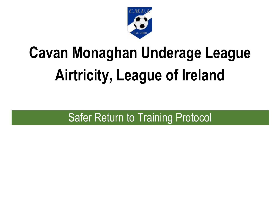

# **Cavan Monaghan Underage League Airtricity, League of Ireland**

## Safer Return to Training Protocol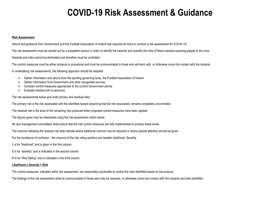### **COVID-19 Risk Assessment & Guidance**

#### **Risk Assessment**

Advice and guidance from Government and the Football Association of Ireland has required all clubs to conduct a risk assessment for COVID-19.

The risk assessment must be carried out by a competent person in order to identify the hazards and quantify the risks of these hazards exposing people to the virus.

Hazards and risks cannot be eliminated and therefore must be controlled.

The control measures must be either physical or procedural and must be communicated to those who will work with, or otherwise come into contact with the hazards.

In undertaking risk assessments, the following approach should be adopted:

- $\triangleright$  Gather information and advice from the sporting governing body, the Football Association of Ireland
- $\triangleright$  Gather information from Government and other recognised sources
- $\triangleright$  Consider control measures appropriate to the current Government advice
- $\triangleright$  Evaluate residual risk to person(s)

The risk assessments below give both primary and residual risks.

The primary risk is the risk associated with the identified hazard assuming that the risk associated, remains completely uncontrolled.

The residual risk is the level of the remaining risk produced when proposed control measures have been applied.

The figures given may be interpreted using the risk assessment matrix below.

All club management committees shall ensure that the risk control measures are fully implemented to achieve these levels.

The columns following the residual risk data indicate where additional controls may be required or where special attention should be given.

For the avoidance of confusion - the columns of the risk rating sections are headed Likelihood, Severity.

L is for "likelihood" and is given in the first column.

S is for "severity" and is indicated in the second column.

R is for 'Risk Rating" and is indicated in the third column.

#### **Likelihood x Severity = Risk**

The control measures, indicated within the assessment, are reasonably practicable to control the risks identified based on the protocol.

The findings of the risk assessment shall be communicated to those who may be exposed, or otherwise come into contact with the hazards and risks identified.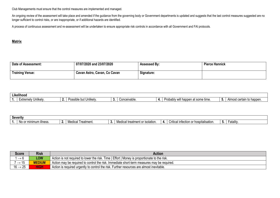Club Managements must ensure that the control measures are implemented and managed.

An ongoing review of the assessment will take place and amended if the guidance from the governing body or Government departments is updated and suggests that the last control measures suggested are no longer sufficient to control risks, or are inappropriate, or if additional hazards are identified.

A process of continuous assessment and re-assessment will be undertaken to ensure appropriate risk controls in accordance with all Government and FAI protocols.

#### **Matrix**

| Date of Assessment:    | 07/07/2020 and 23/07/2020    | <b>Assessed By:</b> | <b>Pierce Hannick</b> |
|------------------------|------------------------------|---------------------|-----------------------|
| <b>Training Venue:</b> | Cavan Astro, Cavan, Co Cavan | Signature:          |                       |

| . | .<br>Likelihood          |                                |     |                     |                                                                                    |                                                    |
|---|--------------------------|--------------------------------|-----|---------------------|------------------------------------------------------------------------------------|----------------------------------------------------|
|   | Unlikelv.<br>∟xtremely ⊔ | <br><br>∘but Unlıkelv.<br>⊔∩∩ค | . . | Concer<br>ceivable. | <br>かへいへ<br>`some time.<br>hiv w<br>$\sim$<br>happen<br>iuuau<br>$\alpha$<br>VV II | ∴ Alm<br>happen.<br>$\sim$ $\sim$ $\sim$<br>י<br>w |

| Severity |                                           |  |                            |    |                                                                             |    |                                                               |     |                |
|----------|-------------------------------------------|--|----------------------------|----|-----------------------------------------------------------------------------|----|---------------------------------------------------------------|-----|----------------|
|          | liness<br>$\sim$ Or min<br>ımum<br>INO O. |  | וההוא<br>reatment.<br>ucar | v. | ' treatment o.<br>$\sim$ $\sim$<br>)lation<br>ימוחם"<br>ייטטו<br>---------- | п. | $\sim$<br>∵hospitalisation<br>Critical intection or<br>$\sim$ | - - | _<br>Fatality. |

| <b>Score</b>              | <b>Risk</b>   | <b>Action</b>                                                                                 |
|---------------------------|---------------|-----------------------------------------------------------------------------------------------|
|                           | <b>LOW</b>    | Action is not required to lower the risk. Time   Effort   Money is proportionate to the risk. |
| ' → '।ਹ                   | <b>MEDIUM</b> | Action may be required to control the risk. Immediate short-term measures may be required.    |
| $-25$<br>$16 \rightarrow$ | <b>AIGH/</b>  | Action is required urgently to control the risk. Further resources are almost inevitable.     |